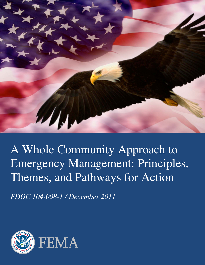

*FDOC 104-008-1 / December 2011*

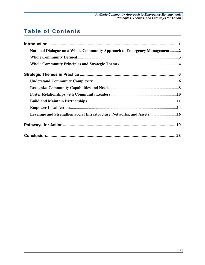# **Table of Contents**

| National Dialogue on a Whole Community Approach to Emergency Management2 |
|--------------------------------------------------------------------------|
|                                                                          |
|                                                                          |
|                                                                          |
|                                                                          |
|                                                                          |
|                                                                          |
|                                                                          |
|                                                                          |
| Leverage and Strengthen Social Infrastructure, Networks, and Assets16    |
|                                                                          |
|                                                                          |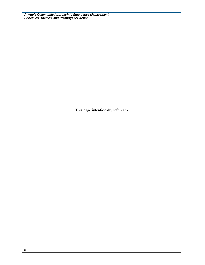This page intentionally left blank.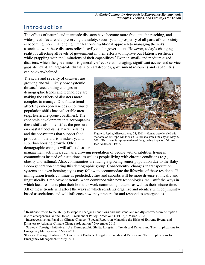# <span id="page-4-0"></span>**Introduction**

The effects of natural and manmade disasters have become more frequent, far-reaching, and widespread. As a result, preserving the safety, security, and prosperity of all parts of our society is becoming more challenging. Our Nation's traditional approach to managing the risks associated with these disasters relies heavily on the government. However, today's changing reality is affecting all levels of government in their efforts to improve our Nation's resilience while grappling with the limitations of their capabilities.<sup>[1](#page-4-1)</sup> Even in small- and medium-sized disasters, which the government is generally effective at managing, significant access and service gaps still exist. In large-scale disasters or catastrophes, government resources and capabilities can be overwhelmed.

The scale and severity of disasters are growing and will likely pose systemic threats.[2](#page-4-2) Accelerating changes in demographic trends and technology are making the effects of disasters more complex to manage. One future trend affecting emergency needs is continued population shifts into vulnerable areas (e.g., hurricane-prone coastlines). The economic development that accompanies these shifts also intensifies the pressure on coastal floodplains, barrier islands, and the ecosystems that support food production, the tourism industry, and suburban housing growth. Other demographic changes will affect disaster

 $\overline{a}$ 



Figure 1: Joplin, Missouri, May 24, 2011—Homes were leveled with the force of 200 mph winds as an F5 tornado struck the city on May 22, 2011. This scene is representative of the growing impacts of disasters. Jace Anderson/FEMA

management activities, such as a growing population of people with disabilities living in communities instead of institutions, as well as people living with chronic conditions (e.g., obesity and asthma). Also, communities are facing a growing senior population due to the Baby Boom generation entering this demographic group. Consequently, changes in transportation systems and even housing styles may follow to accommodate the lifestyles of these residents. If immigration trends continue as predicted, cities and suburbs will be more diverse ethnically and linguistically. Employment trends, when combined with new technologies, will shift the ways in which local residents plan their home-to-work commuting patterns as well as their leisure time. All of these trends will affect the ways in which residents organize and identify with community-based associations and will influence how they prepare for and respond to emergencies.<sup>[3](#page-4-3)</sup>

 **1** 

<span id="page-4-1"></span><sup>&</sup>lt;sup>1</sup> Resilience refers to the ability to adapt to changing conditions and withstand and rapidly recover from disruption due to emergencies. White House, "Presidential Policy Directive 8 (PPD-8)," March 30, 2011.

<span id="page-4-2"></span><sup>&</sup>lt;sup>2</sup> Intergovernmental Panel on Climate Change, "Special Report on Managing the Risks of Extreme Events and Disasters to Advance Climate Change Adaptation," November 2011.

<span id="page-4-3"></span><sup>&</sup>lt;sup>3</sup> Strategic Foresight Initiative, "U.S. Demographic Shifts: Long-term Trends and Drivers and Their Implications for Emergency Management," May 2011.

Strategic Foresight Initiative, "Government Budgets: Long-term Trends and Drivers and Their Implications for Emergency Management," May 2011.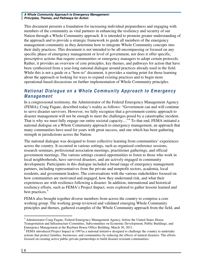This document presents a foundation for increasing individual preparedness and engaging with members of the community as vital partners in enhancing the resiliency and security of our Nation through a Whole Community approach. It is intended to promote greater understanding of the approach and to provide a strategic framework to guide all members of the emergency management community as they determine how to integrate Whole Community concepts into their daily practices. This document is not intended to be all-encompassing or focused on any specific phase of emergency management or level of government, nor does it offer specific, prescriptive actions that require communities or emergency managers to adopt certain protocols. Rather, it provides an overview of core principles, key themes, and pathways for action that have been synthesized from a year-long national dialogue around practices already used in the field. While this is not a guide or a "how-to" document, it provides a starting point for those learning about the approach or looking for ways to expand existing practices and to begin more operational-based discussions on further implementation of Whole Community principles.

## <span id="page-5-0"></span>**National Dialogue on a Whole Community Approach to Emergency Management**

In a congressional testimony, the Administrator of the Federal Emergency Management Agency (FEMA), Craig Fugate, described today's reality as follows: "Government can and will continue to serve disaster survivors. However, we fully recognize that a government-centric approach to disaster management will not be enough to meet the challenges posed by a catastrophic incident. That is why we must fully engage our entire societal capacity...."<sup>[4](#page-5-1)</sup> To that end, FEMA initiated a national dialogue on a Whole Community approach to emergency management, an approach that many communities have used for years with great success, and one which has been gathering strength in jurisdictions across the Nation.

The national dialogue was designed to foster collective learning from communities' experiences across the country. It occurred in various settings, such as organized conference sessions, research seminars, professional association meetings, practitioner gatherings, and official government meetings. The various settings created opportunities to listen to those who work in local neighborhoods, have survived disasters, and are actively engaged in community development. Participants in this dialogue included a broad range of emergency management partners, including representatives from the private and nonprofit sectors, academia, local residents, and government leaders. The conversations with the various stakeholders focused on how communities are motivated and engaged, how they understand risk, and what their experiences are with resilience following a disaster. In addition, international and historical resiliency efforts, such as FEMA's Project Impact, were explored to gather lessons learned and best practices.<sup>[5](#page-5-2)</sup>

FEMA also brought together diverse members from across the country to comprise a core working group. The working group reviewed and validated emerging Whole Community principles and themes, gathered examples of the Whole Community approach from the field, and

<span id="page-5-1"></span><sup>-</sup><sup>4</sup> Administrator Craig Fugate, Federal Emergency Management Agency, before the United States House Transportation and Infrastructure Committee, Subcommittee on Economic Development, Public Buildings, and Emergency Management at the Rayburn House Office Building, March 30, 2011.

<span id="page-5-2"></span><sup>&</sup>lt;sup>5</sup> FEMA introduced Project Impact in 1997as a national initiative designed to challenge the country to undertake actions that protect families, businesses, and communities by reducing the effects of natural disasters. The efforts focused on creating active public-private partnerships to build disaster-resistant communities.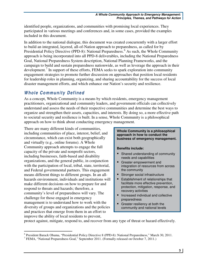identified people, organizations, and communities with promising local experiences. They participated in various meetings and conferences and, in some cases, provided the examples included in this document.

In addition to the national dialogue, this document was created concurrently with a larger effort to build an integrated, layered, all-of-Nation approach to preparedness, as called for by Presidential Policy Directive (PPD-8): National Preparedness.<sup>[6](#page-6-1)</sup> As such, the Whole Community approach is being incorporated into all PPD-8 deliverables, including the National Preparedness Goal, National Preparedness System description, National Planning Frameworks, and the campaign to build and sustain preparedness nationwide, as well as leverage the approach in their development.<sup>[7](#page-6-2)</sup> In support of these efforts, FEMA seeks to spark exploration into community engagement strategies to promote further discussion on approaches that position local residents for leadership roles in planning, organizing, and sharing accountability for the success of local disaster management efforts, and which enhance our Nation's security and resilience.

## <span id="page-6-0"></span>**Whole Community Defined**

As a concept, Whole Community is a means by which residents, emergency management practitioners, organizational and community leaders, and government officials can collectively understand and assess the needs of their respective communities and determine the best ways to organize and strengthen their assets, capacities, and interests. By doing so, a more effective path to societal security and resilience is built. In a sense, Whole Community is a philosophical approach on how to think about conducting emergency management.

There are many different kinds of communities, including communities of place, interest, belief, and circumstance, which can exist both geographically and virtually (e.g., online forums). A Whole Community approach attempts to engage the full capacity of the private and nonprofit sectors, including businesses, faith-based and disability organizations, and the general public, in conjunction with the participation of local, tribal, state, territorial, and Federal governmental partners. This engagement means different things to different groups. In an allhazards environment, individuals and institutions will make different decisions on how to prepare for and respond to threats and hazards; therefore, a community's level of preparedness will vary. The challenge for those engaged in emergency management is to understand how to work with the diversity of groups and organizations and the policies and practices that emerge from them in an effort to improve the ability of local residents to prevent,

#### **Whole Community is a philosophical approach in how to conduct the business of emergency management.**

### **Benefits include:**

- Shared understanding of community needs and capabilities
- **Greater empowerment and** integration of resources from across the community
- **Stronger social infrastructure**
- Establishment of relationships that facilitate more effective prevention, protection, mitigation, response, and recovery activities
- **Increased individual and collective** preparedness
- Greater resiliency at both the community and national levels

protect against, mitigate, respond to, and recover from any type of threat or hazard effectively.

 6 President Barack Obama, "Presidential Policy Directive 8 (PPD-8): National Preparedness," March 30, 2011.

<span id="page-6-2"></span><span id="page-6-1"></span><sup>&</sup>lt;sup>7</sup> FEMA, "National Preparedness Goal," September 2011. (Formally released on October 7, 2011.)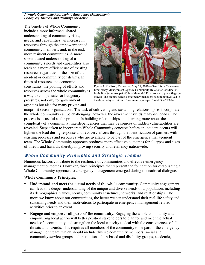The benefits of Whole Community include a more informed, shared understanding of community risks, needs, and capabilities; an increase in resources through the empowerment of community members; and, in the end, more resilient communities. A more sophisticated understanding of a community's needs and capabilities also leads to a more efficient use of existing resources regardless of the size of the incident or community constraints. In times of resource and economic constraints, the pooling of efforts and resources across the whole community is a way to compensate for budgetary pressures, not only for government agencies but also for many private and



Figure 2: Madison, Tennessee, May 29, 2010—Gary Lima, Tennessee Emergency Management Agency Community Relations Coordinator, leads Boy Scout troop #460 in a Memorial Day project to place flags on graves. The picture reflects emergency managers becoming involved in the day-to-day activities of community groups. David Fine/FEMA

nonprofit sector organizations. The task of cultivating and sustaining relationships to incorporate the whole community can be challenging; however, the investment yields many dividends. The process is as useful as the product. In building relationships and learning more about the complexity of a community, interdependencies that may be sources of hidden vulnerabilities are revealed. Steps taken to incorporate Whole Community concepts before an incident occurs will lighten the load during response and recovery efforts through the identification of partners with existing processes and resources who are available to be part of the emergency management team. The Whole Community approach produces more effective outcomes for all types and sizes of threats and hazards, thereby improving security and resiliency nationwide.

## <span id="page-7-0"></span>**Whole Community Principles and Strategic Themes**

Numerous factors contribute to the resilience of communities and effective emergency management outcomes. However, three principles that represent the foundation for establishing a Whole Community approach to emergency management emerged during the national dialogue.

### **Whole Community Principles:**

- **Understand and meet the actual needs of the whole community.** Community engagement can lead to a deeper understanding of the unique and diverse needs of a population, including its demographics, values, norms, community structures, networks, and relationships. The more we know about our communities, the better we can understand their real-life safety and sustaining needs and their motivations to participate in emergency management-related activities prior to an event.
- **Engage and empower all parts of the community.** Engaging the whole community and empowering local action will better position stakeholders to plan for and meet the actual needs of a community and strengthen the local capacity to deal with the consequences of all threats and hazards. This requires all members of the community to be part of the emergency management team, which should include diverse community members, social and community service groups and institutions, faith-based and disability groups, academia,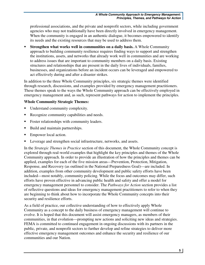professional associations, and the private and nonprofit sectors, while including government agencies who may not traditionally have been directly involved in emergency management. When the community is engaged in an authentic dialogue, it becomes empowered to identify its needs and the existing resources that may be used to address them.

 **Strengthen what works well in communities on a daily basis.** A Whole Community approach to building community resilience requires finding ways to support and strengthen the institutions, assets, and networks that already work well in communities and are working to address issues that are important to community members on a daily basis. Existing structures and relationships that are present in the daily lives of individuals, families, businesses, and organizations before an incident occurs can be leveraged and empowered to act effectively during and after a disaster strikes.

In addition to the three Whole Community principles, six strategic themes were identified through research, discussions, and examples provided by emergency management practitioners. These themes speak to the ways the Whole Community approach can be effectively employed in emergency management and, as such, represent pathways for action to implement the principles.

### **Whole Community Strategic Themes:**

- Understand community complexity.
- Recognize community capabilities and needs.
- Foster relationships with community leaders.
- Build and maintain partnerships.
- Empower local action.
- Leverage and strengthen social infrastructure, networks, and assets.

In the *Strategic Themes in Practice* section of this document, the Whole Community concept is explored through real-world examples that highlight the key principles and themes of the Whole Community approach. In order to provide an illustration of how the principles and themes can be applied, examples for each of the five mission areas—Prevention, Protection, Mitigation, Response, and Recovery (as outlined in the National Preparedness Goal)—are included. In addition, examples from other community development and public safety efforts have been included—most notably, community policing. While the focus and outcomes may differ, such efforts have proven effective in advancing public health and safety and offer a model for emergency management personnel to consider. The *Pathways for Action* section provides a list of reflective questions and ideas for emergency management practitioners to refer to when they are beginning to think about how to incorporate the Whole Community concepts into their security and resilience efforts.

As a field of practice, our collective understanding of how to effectively apply Whole Community as a concept to the daily business of emergency management will continue to evolve. It is hoped that this document will assist emergency managers, as members of their communities, in that evolution—prompting new actions and soliciting new ideas and strategies. FEMA is committed to continued engagement in ongoing discussions with its partners in the public, private, and nonprofit sectors to further develop and refine strategies to deliver more effective emergency management outcomes and enhance the security and resilience of our communities and our Nation.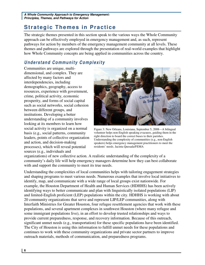# <span id="page-9-0"></span>**Strategic Themes in Practice**

The strategic themes presented in this section speak to the various ways the Whole Community approach can be effectively employed in emergency management and, as such, represent pathways for action by members of the emergency management community at all levels. These themes and pathways are explored through the presentation of real-world examples that highlight how Whole Community concepts are being applied in communities across the country.

# <span id="page-9-1"></span>**Understand Community Complexity**

Communities are unique, multidimensional, and complex. They are affected by many factors and interdependencies, including demographics, geography, access to resources, experience with government, crime, political activity, economic prosperity, and forms of social capital such as social networks, social cohesion between different groups, and institutions. Developing a better understanding of a community involves looking at its members to learn how social activity is organized on a normal basis (e.g., social patterns, community leaders, points of collective organization and action, and decision-making processes), which will reveal potential sources (e.g., individuals and



Figure 3: New Orleans, Louisiana, September 5, 2008—A bilingual volunteer helps non-English speaking evacuees, guiding them in the right direction to board the correct buses to their parishes. Understanding the complexity of communities (e.g., non-English speakers) helps emergency management practitioners to meet the residents' needs. Jacinta Quesada/FEMA

organizations) of new collective action. A realistic understanding of the complexity of a community's daily life will help emergency managers determine how they can best collaborate with and support the community to meet its true needs.

Understanding the complexities of local communities helps with tailoring engagement strategies and shaping programs to meet various needs. Numerous examples that involve local initiatives to identify, map, and communicate with a wide range of local groups exist nationwide. For example, the Houston Department of Health and Human Services (HDHHS) has been actively identifying ways to better communicate and plan with linguistically isolated populations (LIP) and limited-English proficient (LEP) populations within the city. HDHHS is working with about 20 community organizations that serve and represent LIP/LEP communities, along with Interfaith Ministries for Greater Houston, four refugee resettlement agencies that work with these populations, and several apartment complexes in southwest Houston (where many refugee and some immigrant populations live), in an effort to develop trusted relationships and ways to provide current preparedness, response, and recovery information. Because of this outreach, significant unmet needs (e.g., transportation) for these specific populations have been identified. The City of Houston is using this information to fulfill unmet needs for these populations and continues to work with these community organizations and private sector partners to improve outreach materials, methods of communication, and preparedness programs.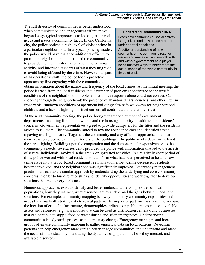The full diversity of communities is better understood when communication and engagement efforts move beyond easy, typical approaches to looking at the real needs and issues a community faces. In one California city, the police noticed a high level of violent crime in a particular neighborhood. In a typical policing model, the police would have assigned additional officers to patrol the neighborhood, approached the community to provide them with information about the criminal activity, and informed residents of what they might do to avoid being affected by the crime. However, as part of an operational shift, the police took a proactive approach by first engaging with the community to

#### **Understand Community "DNA"**

Learn how communities' social activity is organized and how needs are met under normal conditions.

A better understanding of how segments of the community resolve issues and make decisions—both with and without government as a player helps uncover ways to better meet the actual needs of the whole community in times of crisis.

obtain information about the nature and frequency of the local crimes. At the initial meeting, the police learned from the local residents that a number of problems contributed to the unsafe conditions of the neighborhood—problems that police response alone could not correct. Cars speeding through the neighborhood; the presence of abandoned cars, couches, and other litter in front yards; rundown conditions of apartment buildings; few safe walkways for neighborhood children; and a lack of lighting on street corners all contributed to the crime situation.

At the next community meeting, the police brought together a number of government departments, including fire, public works, and the housing authority, to address the residents' concerns. Government representatives agreed to provide dumpsters for the litter and the residents agreed to fill them. The community agreed to tow the abandoned cars and identified street repaving as a high priority. Together, the community and city officials approached the apartment owners, who agreed to paint the exteriors of the buildings. The public works department fixed the street lighting. Building upon the cooperation and the demonstrated responsiveness to the community's needs, several residents provided the police with information that led to the arrests of several individuals involved in the area's drug-related activities. In a relatively short period of time, police worked with local residents to transform what had been perceived to be a narrow crime issue into a broad-based community revitalization effort. Crime decreased, residents became involved, and the neighborhood was significantly improved. Emergency management practitioners can take a similar approach by understanding the underlying and core community concerns in order to build relationships and identify opportunities to work together to develop solutions that meet everyone's needs.

Numerous approaches exist to identify and better understand the complexities of local populations, how they interact, what resources are available, and the gaps between needs and solutions. For example, community mapping is a way to identify community capabilities and needs by visually illustrating data to reveal patterns. Examples of patterns may take into account the location of critical infrastructure, demographics, reliance on public transportation, available assets and resources (e.g., warehouses that can be used as distribution centers), and businesses that can continue to supply food or water during and after emergencies. Understanding communities is a dynamic process as patterns may change. Emergency managers and local groups often use community mapping to gather empirical data on local patterns. Revealing patterns can help emergency managers to better engage communities and understand and meet the needs of individuals by illustrating the dynamics of populations, how they interact, and available resources.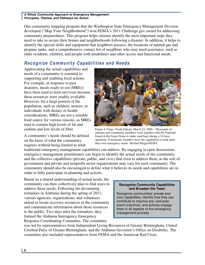One community mapping program that the Washington State Emergency Management Division developed ("Map Your Neighborhood") won FEMA's 2011 Challenge.gov award for addressing community preparedness. This program helps citizens identify the most important steps they need to take to secure their homes and neighborhoods following a disaster. In addition, it helps to identify the special skills and equipment that neighbors possess, the locations of natural gas and propane tanks, and a comprehensive contact list of neighbors who may need assistance, such as older residents, children, and people with disabilities and other access and functional needs.

# <span id="page-11-0"></span>**Recognize Community Capabilities and Needs**

Appreciating the actual capabilities and needs of a community is essential to supporting and enabling local actions. For example, in response to past disasters, meals ready-to-eat (MREs) have been used to feed survivors because these resources were readily available. However, for a large portion of the population, such as children, seniors, or individuals with dietary or health considerations, MREs are not a suitable food source for various reasons, as MREs tend to contain high levels of fat and sodium and low levels of fiber.

A community's needs should be defined on the basis of what the community requires without being limited to what



Figure 4: Fargo, North Dakota, March 23, 2009—Thousands of students and community members work together with the National Guard at the Fargo Dome to make sand bags during a 24-hour operation. Community members have the capabilities to help meet their own emergency needs. Michael Reiger/FEMA

traditional emergency management capabilities can address. By engaging in open discussions, emergency management practitioners can begin to identify the actual needs of the community and the collective capabilities (private, public, and civic) that exist to address them, as the role of government and private and nonprofit sector organizations may vary for each community. The community should also be encouraged to define what it believes its needs and capabilities are in order to fully participate in planning and actions.

Based on a shared understanding of actual needs, the community can then collectively plan to find ways to address those needs. Following the devastating tornadoes in Alabama during the spring of 2011, various agencies, organizations, and volunteers united to locate recovery resources in the community and communicate information about those resources to the public. Two days after the tornadoes, they formed the Alabama Interagency Emergency Response Coordinating Committee. The committee

### **Recognize Community Capabilities and Broaden the Team**

Recognize communities' private and civic capabilities, identify how they can contribute to improve pre- and postevent outcomes, and actively engage them in all aspects of the emergency management process.

was led by representatives from Independent Living Resources of Greater Birmingham, United Cerebral Palsy of Greater Birmingham, and the Alabama Governor's Office on Disability. The committee also included representatives from FEMA and the American Red Cross.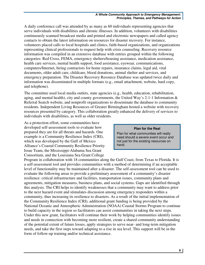A daily conference call was attended by as many as 60 individuals representing agencies that serve individuals with disabilities and chronic illnesses. In addition, volunteers with disabilities continuously scanned broadcast media and printed and electronic newspapers and called agency contacts to obtain the latest information on resources for disaster recovery. For instance, volunteers placed calls to local hospitals and clinics, faith-based organizations, and organizations representing clinical professionals to request help with crisis counseling. Recovery resource information was compiled in an extensive database with entries grouped within the following categories: Red Cross, FEMA, emergency shelters/housing assistance, medication assistance, health care services, mental health support, food assistance, eyewear, communications, computers/Internet, hiring contractors for home repairs, insurance claims, legal aid, vital documents, older adult care, childcare, blood donations, animal shelter and services, and emergency preparation. The Disaster Recovery Resource Database was updated twice daily and information was disseminated in multiple formats (e.g., email attachment, website, hard copy, and telephone).

The committee used local media outlets, state agencies (e.g., health, education, rehabilitation, aging, and mental health), city and county governments, the United Way's 2-1-1 Information & Referral Search website, and nonprofit organizations to disseminate the database to community residents. Independent Living Resources of Greater Birmingham hosted a website with recovery resources presented by category. This collaboration greatly enhanced the delivery of services to individuals with disabilities, as well as older residents.

As a protection effort, some communities have developed self-assessment tools to evaluate how prepared they are for all threats and hazards. One example is a Community Resilience Index (CRI), which was developed by the Gulf of Mexico Alliance's Coastal Community Resilience Priority Issue Team, the Mississippi-Alabama Sea Grant Consortium, and the Louisiana Sea Grant College

#### **Plan for the Real**

Plan for what communities will really need should a severe event occur and not just for the existing resources on hand.

Program in collaboration with 18 communities along the Gulf Coast, from Texas to Florida. It is a self-assessment tool and provides communities with a method of determining if an acceptable level of functionality may be maintained after a disaster. The self-assessment tool can be used to evaluate the following areas to provide a preliminary assessment of a community's disaster resilience: critical infrastructure and facilities, transportation issues, community plans and agreements, mitigation measures, business plans, and social systems. Gaps are identified through this analysis. The CRI helps to identify weaknesses that a community may want to address prior to the next hazard event and stimulates discussion among emergency responders within a community, thus increasing its resilience to disasters. As a result of the initial implementation of the Community Resilience Index (CRI), additional grant funding is being provided by the National Oceanic and Atmospheric Administration (NOAA) Coastal Storms Program to continue to build capacity in the region so facilitators can assist communities in taking the next steps. Under this new grant, facilitators will continue their work by helping communities identify issues and needs in connection with becoming more resilient, create a shared community understanding of the potential extent of future losses, apply strategies to serve near- and long-term mitigation needs, and take the first steps toward adapting to a rise in sea level. This support will be in the form of follow-up training and/or technical assistance.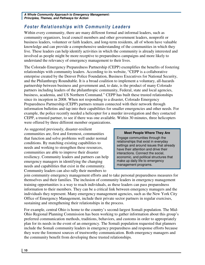## <span id="page-13-0"></span>**Foster Relationships with Community Leaders**

Within every community, there are many different formal and informal leaders, such as community organizers, local council members and other government leaders, nonprofit or business leaders, volunteer or faith leaders, and long-term residents, all of whom have valuable knowledge and can provide a comprehensive understanding of the communities in which they live. These leaders can help identify activities in which the community is already interested and involved as people might be more receptive to preparedness campaigns and more likely to understand the relevancy of emergency management to their lives.

The Colorado Emergency Preparedness Partnership (CEPP) exemplifies the benefits of fostering relationships with community leaders. According to its website, "CEPP is a collaborative enterprise created by the Denver Police Foundation, Business Executives for National Security, and the Philanthropy Roundtable. It is a broad coalition to implement a voluntary, all-hazards partnership between business and government and, to date, is the product of many Colorado partners including leaders of the philanthropic community, Federal, state and local agencies, business, academia, and US Northern Command." CEPP has built these trusted relationships since its inception in 2008. When not responding to a disaster, Colorado Emergency Preparedness Partnership (CEPP) partners remain connected with their network through information bulletins and tap into their capabilities for smaller emergencies and other needs. For example, the police recently needed a helicopter for a murder investigation and they contacted CEPP, a trusted partner, to see if there was one available. Within 30 minutes, three helicopters were offered by three different member organizations.

As suggested previously, disaster-resilient communities are, first and foremost, communities that function and solve problems well under normal conditions. By matching existing capabilities to needs and working to strengthen these resources, communities are able to improve their disaster resiliency. Community leaders and partners can help emergency managers in identifying the changing needs and capabilities that exist in the community. Community leaders can also rally their members to

### **Meet People Where They Are**

Engage communities through the relationships that exist in everyday settings and around issues that already have their attention and drive their interactions. Connect the social, economic, and political structures that make up daily life to emergency management programs.

join community emergency management efforts and to take personal preparedness measures for themselves and their families. The inclusion of community leaders in emergency management training opportunities is a way to reach individuals, as these leaders can pass preparedness information to their members. They can be a critical link between emergency managers and the individuals they represent. Many emergency management agencies, such as the New York City Office of Emergency Management, include their private sector partners in regular exercises, sustaining and strengthening their relationships in the process.

For example, central Ohio is home to the country's second-largest Somali population. The Mid-Ohio Regional Planning Commission has been working to gather information about this group's preferred communication methods, traditions, behaviors, and customs in order to appropriately plan for its needs in the event of an emergency. The Somali population requested that planners include the Somali community leaders in emergency preparedness and response efforts because they were the foremost sources of trustworthy communication. Both emergency managers and the community benefit from developing these trusted relationships.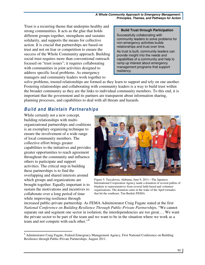Trust is a recurring theme that underpins healthy and strong communities. It acts as the glue that holds different groups together, strengthens and sustains solidarity, and supports the means for collective action. It is crucial that partnerships are based on trust and not on fear or competition to ensure the success of the Whole Community approach. Building social trust requires more than conventional outreach focused on "trust issues"; it requires collaborating with communities in joint activities designed to address specific local problems. As emergency managers and community leaders work together to

#### **Build Trust through Participation**

Successfully collaborating with community leaders to solve problems for non-emergency activities builds relationships and trust over time.

As trust is built, community leaders can provide insight into the needs and capabilities of a community and help to ramp up interest about emergency management programs that support resiliency.

solve problems, trusted relationships are formed as they learn to support and rely on one another. Fostering relationships and collaborating with community leaders is a way to build trust within the broader community as they are the links to individual community members. To this end, it is important that the government and its partners are transparent about information sharing, planning processes, and capabilities to deal with all threats and hazards.

## <span id="page-14-0"></span>**Build and Maintain Partnerships**

While certainly not a new concept, building relationships with multiorganizational partnerships and coalitions is an exemplary organizing technique to ensure the involvement of a wide range of local community members. The collective effort brings greater capabilities to the initiatives and provides greater opportunities to reach agreement throughout the community and influence others to participate and support activities. The critical step in building these partnerships is to find the overlapping and shared interests around which groups and organizations are brought together. Equally important is to sustain the motivations and incentives to collaborate over a long period of time while improving resilience through

 $\overline{a}$ 



Figure 5: Tuscaloosa, Alabama, June 9, 2011—The Japanese International Cooperation Agency made a donation of several pallets of blankets to representatives from several faith-based and volunteer organizations. The donation came in the wake of the April tornados that hit the southeast. Tim Burkitt /FEMA

increased public-private partnership. As FEMA Administrator Craig Fugate stated at the first *National Conference on Building Resilience Through Public-Private Partnerships*, "We cannot separate out and segment one sector in isolation; the interdependencies are too great.… We want the private sector to be part of the team and we want to be in the situation where we work as a team and not compete with each other."<sup>[8](#page-14-1)</sup>

<span id="page-14-1"></span><sup>&</sup>lt;sup>8</sup> Administrator Craig Fugate, Federal Emergency Management Agency, First National Conference on Building Resilience through Public-Private Partnerships, August 2011.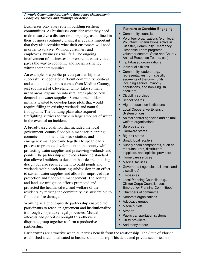Businesses play a key role in building resilient communities. As businesses consider what they need to do to survive a disaster or emergency, as outlined in their business continuity plans, it is equally important that they also consider what their customers will need in order to survive. Without customers and employees, businesses will fail. The ongoing involvement of businesses in preparedness activities paves the way to economic and social resiliency within their communities.

An example of a public-private partnership that successfully negotiated difficult community political and economic dynamics comes from Medina County, just southwest of Cleveland, Ohio. Like so many urban areas, expansion into rural areas placed new demands on water supplies. Some homebuilders initially wanted to develop large plots that would require filling in existing wetlands and natural floodplains. The building plans also required firefighting services to truck in large amounts of water in the event of an incident.

A broad-based coalition that included the local government, county floodplain manager, planning commission, homebuilders association, and emergency manager came together to spearhead a process to promote development in the county while protecting water supplies and preserving wetlands and ponds. The partnership achieved a building standard that allowed builders to develop their desired housing design but also required them to build ponds and wetlands within each housing subdivision in an effort to sustain water supplies and allow for improved fire protection and floodplain management. The zoning and land use mitigation efforts promoted and protected the health, safety, and welfare of the residents by making the community less susceptible to flood and fire damage.

Working as a public-private partnership enabled the participants to reach an agreement and institutionalize it through cooperative legal processes. Mutual interests and priorities brought this otherwise disparate group together to form a productive partnership.

### **Partners to Consider Engaging**

- Community councils
- Volunteer organizations (e.g., local Voluntary Organizations Active in Disaster, Community Emergency Response Team programs, volunteer centers, State and County Animal Response Teams, etc.)
- **Faith-based organizations**
- **Individual citizens**
- Community leaders (e.g., representatives from specific segments of the community, including seniors, minority populations, and non-English speakers)
- **Disability services**
- School boards
- **Higher education institutions**
- **Local Cooperative Extension** System offices
- Animal control agencies and animal welfare organizations
- Surplus stores
- Hardware stores
- Big-box stores
- Small, local retailers
- Supply chain components, such as manufacturers, distributors, suppliers, and logistics providers
- Home care services
- Medical facilities
- Government agencies (all levels and disciplines)
- **Embassies**
- **Local Planning Councils (e.g.,** Citizen Corps Councils, Local Emergency Planning Committees)
- Chambers of commerce
- **Nonprofit organizations**
- Advocacy groups
- Media outlets
- **Airports**
- **Public transportation systems**
- Utility providers
- And many others…

Partnerships are attractive when all parties benefit from the relationship. The State of Florida established a team dedicated to business and industry. This dedicated private sector team is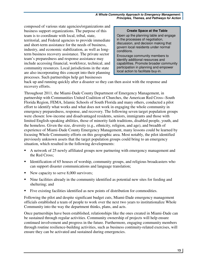composed of various state agencies/organizations and business support organizations. The purpose of this team is to coordinate with local, tribal, state, territorial, and Federal agencies to provide immediate and short-term assistance for the needs of business, industry, and economic stabilization, as well as longterm business recovery assistance. The private sector team's preparedness and response assistance may include accessing financial, workforce, technical, and community resources. Local jurisdictions in the state are also incorporating this concept into their planning processes. Such partnerships help get businesses

#### **Create Space at the Table**

Open up the planning table and engage in the processes of negotiation, discussion, and decision making that govern local residents under normal conditions.

Encourage community members to identify additional resources and capabilities. Promote broader community participation in planning and empower local action to facilitate buy-in.

back up and running quickly after a disaster so they can then assist with the response and recovery efforts.

Throughout 2011, the Miami-Dade County Department of Emergency Management, in partnership with Communities United Coalition of Churches, the American Red Cross--South Florida Region, FEMA, Islamic Schools of South Florida and many others, conducted a pilot effort to identify what works and what does not work in engaging the whole community in emergency preparedness, response, and recovery. The following seven target population groups were chosen: low-income and disadvantaged residents, seniors, immigrants and those with limited English-speaking abilities, those of minority faith traditions, disabled people, youth, and the homeless. Given the size, diversity (e.g., ethnicity, religion, and age), and breadth of experience of Miami-Dade County Emergency Management, many lessons could be learned by focusing Whole Community efforts on this geographic area. Most notably, the pilot identified previously unknown assets that the target population groups could bring to an emergency situation, which resulted in the following developments:

- A network of 25 newly affiliated groups now partnering with emergency management and the Red Cross;
- Identification of 65 houses of worship, community groups, and religious broadcasters who can support disaster communications and language translation;
- New capacity to serve 8,000 survivors;
- Nine facilities already in the community identified as potential new sites for feeding and sheltering; and
- Five existing facilities identified as new points of distribution for commodities.

Following the pilot and despite significant budget cuts, Miami-Dade emergency management officials established a team of people to work over the next two years to institutionalize Whole Community into the way the department thinks, plans, and acts.

Once partnerships have been established, relationships like the ones created in Miami-Dade can be sustained through regular activities. Community ownership of projects will help ensure continued involvement and progress in the future. Furthermore, engaging community members through routine resilience-building activities, such as business continuity-related exercises, will ensure they can be activated and sustained during emergencies.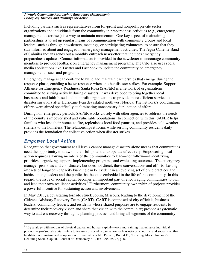Including partners such as representatives from for-profit and nonprofit private sector organizations and individuals from the community in preparedness activities (e.g., emergency management exercises) is a way to maintain momentum. One key aspect of maintaining partnerships is to set up regular means of communication with community groups and local leaders, such as through newsletters, meetings, or participating volunteers, to ensure that they stay informed about and engaged in emergency management activities. The Agua Caliente Band of Cahuilla Indians sends out a monthly outreach newsletter that includes emergency preparedness updates. Contact information is provided in the newsletter to encourage community members to provide feedback on emergency management programs. The tribe also uses social media applications like Twitter and Facebook to update the community on emergency management issues and programs.

Emergency managers can continue to build and maintain partnerships that emerge during the response phase, enabling a better response when another disaster strikes. For example, Support Alliance for Emergency Readiness Santa Rosa (SAFER) is a network of organizations committed to serving actively during disasters. It was developed to bring together local businesses and faith-based and nonprofit organizations to provide more efficient service to disaster survivors after Hurricane Ivan devastated northwest Florida. The network's coordinating efforts were aimed specifically at eliminating unnecessary duplication of effort.

During non-emergency periods, SAFER works closely with other agencies to address the needs of the county's impoverished and vulnerable populations. In connection with this, SAFER helps families who lose their homes to fire, replenishes local food pantries, and provides cold weather shelters to the homeless. The relationships it forms while serving community residents daily provides the foundation for collective action when disaster strikes.

## <span id="page-17-0"></span>**Empower Local Action**

Recognition that government at all levels cannot manage disasters alone means that communities need the opportunity to draw on their full potential to operate effectively. Empowering local action requires allowing members of the communities to lead—not follow—in identifying priorities, organizing support, implementing programs, and evaluating outcomes. The emergency manager promotes and coordinates, but does not direct, these conversations and efforts. Lasting impacts of long-term capacity building can be evident in an evolving set of civic practices and habits among leaders and the public that become embedded in the life of the community. In this regard, the issue of social capital becomes an important part of encouraging communities to own and lead their own resilience activities.<sup>[9](#page-17-1)</sup> Furthermore, community ownership of projects provides a powerful incentive for sustaining action and involvement.

In May 2011, a devastating tornado struck Joplin, Missouri, leading to the development of the Citizens Advisory Recovery Team (CART). CART is composed of city officials, business leaders, community leaders, and residents whose shared purposes are to engage residents to determine their recovery vision and share that vision with the community; provide a systematic way to address recovery through a planning process; and bring all segments of the community

<span id="page-17-1"></span> $\overline{a}$ <sup>9</sup> "By analogy with notions of physical capital and human capital—tools and training that enhance individual productivity—'social capital' refers to features of social organization such as networks, norms, and social trust that facilitate coordination and cooperation for mutual benefit." Putnam, Robert D., "Bowling Alone: America's Declining Social Capital," Journal of Democracy 6:1, Jan 1995, 65-78, p. 67.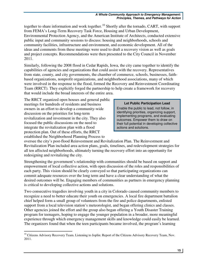together to share information and work together.<sup>[10](#page-18-0)</sup> Shortly after the tornado, CART, with support from FEMA's Long-Term Recovery Task Force, Housing and Urban Development, Environmental Protection Agency, and the American Institute of Architects, conducted extensive public input and community sessions to discuss: housing and neighborhoods, schools and community facilities, infrastructure and environment, and economic development. All of the ideas and comments from these meetings were used to draft a recovery vision as well as goals and project concepts. Recommendations were then presented to the City Council in November 2011.

Similarly, following the 2008 flood in Cedar Rapids, Iowa, the city came together to identify the capabilities of agencies and organizations that could assist with the recovery. Representatives from state, county, and city governments, the chamber of commerce, schools, businesses, faithbased organizations, nonprofit organizations, and neighborhood associations, many of which were involved in the response to the flood, formed the Recovery and Reinvestment Coordinating Team (RRCT). They explicitly forged the partnership to help create a framework for recovery that would include the broad interests of the entire area.

The RRCT organized open houses and general public meetings for hundreds of residents and business owners in an effort to develop a community-wide discussion on the priorities for long-term revitalization and investment in the city. They also focused the public discussions on the need to integrate the revitalization plan with a flood protection plan. Out of these efforts, the RRCT established the Neighborhood Planning Process to

-

#### **Let Public Participation Lead**

Enable the public to lead, not follow, in identifying priorities, organizing support, implementing programs, and evaluating outcomes. Empower them to draw on their full potential in developing collective actions and solutions.

oversee the city's post-flood Reinvestment and Revitalization Plan. The Reinvestment and Revitalization Plan included area action plans, goals, timelines, and redevelopment strategies for all ten affected neighborhoods, ultimately turning the recovery effort into an opportunity for redesigning and revitalizing the city.

Strengthening the government's relationship with communities should be based on support and empowerment of local collective action, with open discussion of the roles and responsibilities of each party. This vision should be clearly conveyed so that participating organizations can commit adequate resources over the long term and have a clear understanding of what the desired outcomes will be. Engaging members of communities as partners in emergency planning is critical to developing collective actions and solutions.

Two consecutive tragedies involving youth in a city in Colorado caused community members to recognize a need to better educate their youth on emergencies. A local fire department battalion chief helped form a small group of volunteers from the fire and police departments, enlisted support from a local television station's meteorologist, and began offering clinics and classes. Other agencies joined the effort and the group also began offering a Youth Disaster Training program for teenagers, hoping to engage the younger population in a broader, more meaningful experience through which emergency management skills and knowledge could easily be learned. The organizers found that when the teen participants became involved, the program's learning

<span id="page-18-0"></span><sup>&</sup>lt;sup>10</sup> Citizens Advisory Recovery Team. Listening to Joplin: Report of the Citizens Advisory Recovery Team, Nov. 2011.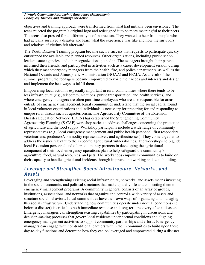objectives and training approach were transformed from what had initially been envisioned. The teens rejected the program's original logo and redesigned it to be more meaningful to their peers. The teens also pressed for a different type of instruction. They wanted to hear from people who had actually survived a disaster and learn what the experience was like and how the survivors and relatives of victims felt afterward.

The Youth Disaster Training program became such a success that requests to participate quickly outstripped the available and planned resources. Other organizations, including public school leaders, state agencies, and other organizations, joined in. The teenagers brought their parents, informed their friends, and participated in activities such as a career development session during which they met emergency managers from the health, fire, and police departments, as well as the National Oceanic and Atmospheric Administration (NOAA) and FEMA. As a result of the summer program, the teenagers became empowered to voice their needs and interests and design and implement the best ways to fulfill them.

Empowering local action is especially important in rural communities where there tends to be less infrastructure (e.g., telecommunications, public transportation, and health services) and where emergency managers are often part-time employees who are also responsible for areas outside of emergency management. Rural communities understand that the social capital found in local volunteer organizations and individuals is necessary for preparing for and responding to unique rural threats such as agroterrorism. The Agrosecurity Committee of the Extension Disaster Education Network (EDEN) has established the Strengthening Community Agrosecurity Planning (S-CAP) workshop series to address challenges concerning the protection of agriculture and the food supply. Workshop participants include a wide range of community representatives (e.g., local emergency management and public health personnel, first responders, veterinarians, producers/commodity representatives, and agribusinesses). They come together to address the issues relevant to their specific agricultural vulnerabilities. The workshops help guide local Extension personnel and other community partners in developing the agricultural component of their local emergency operations plan to help safeguard the community's agriculture, food, natural resources, and pets. The workshops empower communities to build on their capacity to handle agricultural incidents through improved networking and team building.

## <span id="page-19-0"></span>**Leverage and Strengthen Social Infrastructure, Networks, and Assets**

Leveraging and strengthening existing social infrastructure, networks, and assets means investing in the social, economic, and political structures that make up daily life and connecting them to emergency management programs. A community in general consists of an array of groups, institutions, associations, and networks that organize and control a wide variety of assets and structure social behaviors. Local communities have their own ways of organizing and managing this social infrastructure. Understanding how communities operate under normal conditions (i.e., before a disaster) is critical to both immediate response and long-term recovery after a disaster. Emergency managers can strengthen existing capabilities by participating in discussions and decision-making processes that govern local residents under normal conditions and aligning emergency management activities to support community partnerships and efforts. Emergency managers can engage with non-traditional partners within their communities to build upon these day-to-day functions and determine how they can be leveraged and empowered during a disaster.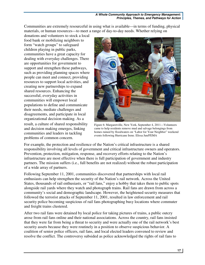Communities are extremely resourceful in using what is available—in terms of funding, physical materials, or human resources—to meet a range of day-to-day needs. Whether relying on

donations and volunteers to stock a local food bank or mobilizing neighbors to form "watch groups" to safeguard children playing in public parks, communities have a great capacity for dealing with everyday challenges. There are opportunities for government to support and strengthen these pathways, such as providing planning spaces where people can meet and connect, providing resources to support local activities, and creating new partnerships to expand shared resources. Enhancing the successful, everyday activities in communities will empower local populations to define and communicate their needs, mediate challenges and disagreements, and participate in local organizational decision making. As a result, a culture of shared responsibility and decision making emerges, linking communities and leaders in tackling problems of common concern.



Figure 6: Margaretville, New York, September 4, 2011—Volunteers came to help residents remove mud and salvage belongings from homes ruined by floodwaters on "Labor for Your Neighbor" weekend events following Hurricane Irene. Elissa Jun/FEMA

For example, the protection and resilience of the Nation's critical infrastructure is a shared responsibility involving all levels of government and critical infrastructure owners and operators. Prevention, protection, mitigation, response, and recovery efforts relating to the Nation's infrastructure are most effective when there is full participation of government and industry partners. The mission suffers (i.e., full benefits are not realized) without the robust participation of a wide array of partners.

Following September 11, 2001, communities discovered that partnerships with local rail enthusiasts can help strengthen the security of the Nation's rail network. Across the United States, thousands of rail enthusiasts, or "rail fans," enjoy a hobby that takes them to public spots alongside rail yards where they watch and photograph trains. Rail fans are drawn from across a community's social and demographic landscape. However, the heightened security measures that followed the terrorist attacks of September 11, 2001, resulted in law enforcement and rail security police becoming suspicious of rail fans photographing busy locations where commuter and freight trains clustered.

After two rail fans were detained by local police for taking pictures of trains, a public outcry arose from rail fans online and their national associations. Across the country, rail fans insisted that they were far from being a threat to security and were actually one of the rail network's best security assets because they were routinely in a position to observe suspicious behavior. A coalition of senior police officers, rail fans, and local elected leaders convened to review and resolve the conflict. The controversy subsided as police acknowledged the rights of rail fans to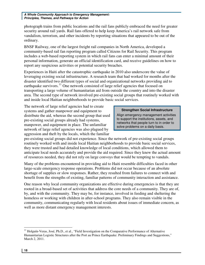photograph trains from public locations and the rail fans publicly embraced the need for greater security around rail yards. Rail fans offered to help keep America's rail network safe from vandalism, terrorism, and other incidents by reporting situations that appeared to be out of the ordinary.

BNSF Railway, one of the largest freight rail companies in North America, developed a community-based rail fan reporting program called Citizens for Rail Security. This program includes a web-based reporting system in which rail fans can enter a minimal amount of their personal information, generate an official identification card, and receive guidelines on how to report any suspicious activities or potential security breaches.

Experiences in Haiti after the catastrophic earthquake in 2010 also underscore the value of leveraging existing social infrastructure. A research team that had worked for months after the disaster identified two different types of social and organizational networks providing aid to earthquake survivors.<sup>[11](#page-21-0)</sup> One network consisted of large relief agencies that focused on transporting a large volume of humanitarian aid from outside the country and into the disaster area. The second type of network involved pre-existing social groups that routinely worked with and inside local Haitian neighborhoods to provide basic social services.

The network of large relief agencies had to create systems and gather manpower and equipment to distribute the aid, whereas the second group that used pre-existing social groups already had systems, manpower, and equipment in place. The unfamiliar network of large relief agencies was also plagued by aggression and theft by the locals, which the familiar

### **Strengthen Social Infrastructure**

Align emergency management activities to support the institutions, assets, and networks that people turn to in order to solve problems on a daily basis.

pre-existing social groups did not experience. Since the network of pre-existing social groups routinely worked with and inside local Haitian neighborhoods to provide basic social services, they were trusted and had detailed knowledge of local conditions, which allowed them to anticipate local needs accurately and provide the aid required. Since they knew the actual amount of resources needed, they did not rely on large convoys that would be tempting to vandals.

Many of the problems encountered in providing aid to Haiti resemble difficulties faced in other large-scale emergency response operations. Problems did not occur because of an absolute shortage of supplies or slow responses. Rather, they resulted from failures to connect with and benefit from the strengths of existing, familiar patterns of community interaction and assistance.

One reason why local community organizations are effective during emergencies is that they are rooted in a broad-based set of activities that address the core needs of a community. They are of, by, and with the community. They may be, for instance, involved in feeding and sheltering the homeless or working with children in after-school programs. They also remain visible in the community, communicating regularly with local residents about issues of immediate concern, as well as more distant emergency management interests.

<span id="page-21-0"></span><sup>&</sup>lt;u>.</u>  $<sup>11</sup>$  Holguín-Veras, José, Ph.D., et al., "Field Investigation on the Comparative Performance of Alternative</sup> Humanitarian Logistic Structures after the Port au Prince Earthquake: Preliminary Findings and Suggestions," March 2, 2011.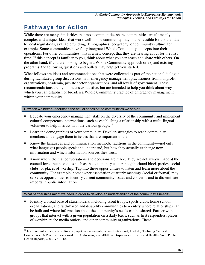# <span id="page-22-0"></span>**Pathways for Action**

While there are many similarities that most communities share, communities are ultimately complex and unique. Ideas that work well in one community may not be feasible for another due to local regulations, available funding, demographics, geography, or community culture, for example. Some communities have fully integrated Whole Community concepts into their operations. For other communities, this is a new concept that they are hearing about for the first time. If this concept is familiar to you, think about what you can teach and share with others. On the other hand, if you are looking to begin a Whole Community approach or expand existing programs, the following questions and bullets may help get you started.

What follows are ideas and recommendations that were collected as part of the national dialogue during facilitated group discussions with emergency management practitioners from nonprofit organizations, academia, private sector organizations, and all levels of government. These recommendations are by no means exhaustive, but are intended to help you think about ways in which you can establish or broaden a Whole Community practice of emergency management within your community.

How can we better understand the actual needs of the communities we serve?

- Educate your emergency management staff on the diversity of the community and implement cultural competence interventions, such as establishing a relationship with a multi-lingual volunteer to help interact with the various groups.<sup>[12](#page-22-1)</sup>
- **EXECUTE:** Learn the demographics of your community. Develop strategies to reach community members and engage them in issues that are important to them.
- Know the languages and communication methods/traditions in the community—not only what languages people speak and understand, but how they actually exchange new information and which information sources they trust.
- Know where the real conversations and decisions are made. They are not always made at the council level, but at venues such as the community center, neighborhood block parties, social clubs, or places of worship. Tap into these opportunities to listen and learn more about the community. For example, homeowner association quarterly meetings (social or formal) may serve as opportunities to identify current community issues and concerns and to disseminate important public information.

What partnerships might we need in order to develop an understanding of the community's needs?

 Identify a broad base of stakeholders, including scout troops, sports clubs, home school organizations, and faith-based and disability communities to identify where relationships can be built and where information about the community's needs can be shared. Partner with groups that interact with a given population on a daily basis, such as first responders, places of worship, niche media outlets, and other community organizations. These

<span id="page-22-1"></span> $\overline{a}$ <sup>12</sup> For more information on cultural competence interventions, see Betancourt, J., et al., "Defining Cultural Competence: A Practical Framework for Addressing Racial/Ethnic Disparities in Health and Health Care," Public Health Reports, 2003, Vol. 118.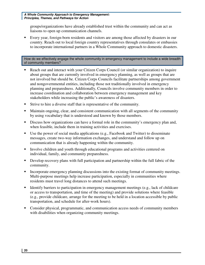groups/organizations have already established trust within the community and can act as liaisons to open up communication channels.

 Every year, foreign-born residents and visitors are among those affected by disasters in our country. Reach out to local foreign country representatives through consulates or embassies to incorporate international partners in a Whole Community approach to domestic disasters.

How do we effectively engage the whole community in emergency management to include a wide breadth of community members?

- Reach out and interact with your Citizen Corps Council (or similar organization) to inquire about groups that are currently involved in emergency planning, as well as groups that are not involved but should be. Citizen Corps Councils facilitate partnerships among government and nongovernmental entities, including those not traditionally involved in emergency planning and preparedness. Additionally, Councils involve community members in order to increase coordination and collaboration between emergency management and key stakeholders while increasing the public's awareness of disasters.
- Strive to hire a diverse staff that is representative of the community.
- Maintain ongoing, clear, and consistent communication with all segments of the community by using vocabulary that is understood and known by those members.
- Discuss how organizations can have a formal role in the community's emergency plan and, when feasible, include them in training activities and exercises.
- Use the power of social media applications (e.g., Facebook and Twitter) to disseminate messages, create two-way information exchanges, and understand and follow up on communication that is already happening within the community.
- Involve children and youth through educational programs and activities centered on individual, family, and community preparedness.
- Develop recovery plans with full participation and partnership within the full fabric of the community.
- Incorporate emergency planning discussions into the existing format of community meetings. Multi-purpose meetings help increase participation, especially in communities where residents must travel long distances to attend such meetings.
- Identify barriers to participation in emergency management meetings (e.g., lack of childcare or access to transportation, and time of the meeting) and provide solutions where feasible (e.g., provide childcare, arrange for the meeting to be held in a location accessible by public transportation, and schedule for after-work hours).
- Consider physical, programmatic, and communication access needs of community members with disabilities when organizing community meetings.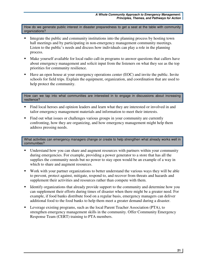How do we generate public interest in disaster preparedness to get a seat at the table with community organizations?

- Integrate the public and community institutions into the planning process by hosting town hall meetings and by participating in non-emergency management community meetings. Listen to the public's needs and discuss how individuals can play a role in the planning process.
- Make yourself available for local radio call-in programs to answer questions that callers have about emergency management and solicit input from the listeners on what they see as the top priorities for community resilience.
- Have an open house at your emergency operations center (EOC) and invite the public. Invite schools for field trips. Explain the equipment, organization, and coordination that are used to help protect the community.

How can we tap into what communities are interested in to engage in discussions about increasing resilience?

- Find local heroes and opinion leaders and learn what they are interested or involved in and tailor emergency management materials and information to meet their interests.
- Find out what issues or challenges various groups in your community are currently confronting, how they are organizing, and how emergency management might help them address pressing needs.

What activities can emergency managers change or create to help strengthen what already works well in communities?

- Understand how you can share and augment resources with partners within your community during emergencies. For example, providing a power generator to a store that has all the supplies the community needs but no power to stay open would be an example of a way in which to share and augment resources.
- Work with your partner organizations to better understand the various ways they will be able to prevent, protect against, mitigate, respond to, and recover from threats and hazards and supplement their activities and resources rather than compete with them.
- Identify organizations that already provide support to the community and determine how you can supplement their efforts during times of disaster when there might be a greater need. For example, if food banks distribute food on a regular basis, emergency managers can deliver additional food to the food banks to help them meet a greater demand during a disaster.
- Leverage existing programs, such as the local Parent Teacher Association (PTA), to strengthen emergency management skills in the community. Offer Community Emergency Response Team (CERT) training to PTA members.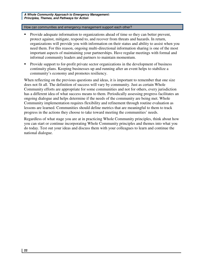How can communities and emergency management support each other?

- **Provide adequate information to organizations ahead of time so they can better prevent,** protect against, mitigate, respond to, and recover from threats and hazards. In return, organizations will provide you with information on their status and ability to assist when you need them. For this reason, ongoing multi-directional information sharing is one of the most important aspects of maintaining your partnerships. Have regular meetings with formal and informal community leaders and partners to maintain momentum.
- Provide support to for-profit private sector organizations in the development of business continuity plans. Keeping businesses up and running after an event helps to stabilize a community's economy and promotes resiliency.

When reflecting on the previous questions and ideas, it is important to remember that one size does not fit all. The definition of success will vary by community. Just as certain Whole Community efforts are appropriate for some communities and not for others, every jurisdiction has a different idea of what success means to them. Periodically assessing progress facilitates an ongoing dialogue and helps determine if the needs of the community are being met. Whole Community implementation requires flexibility and refinement through routine evaluation as lessons are learned. Communities should define metrics that are meaningful to them to track progress in the actions they choose to take toward meeting the communities' needs.

Regardless of what stage you are at in practicing Whole Community principles, think about how you can start or continue incorporating Whole Community principles and themes into what you do today. Test out your ideas and discuss them with your colleagues to learn and continue the national dialogue.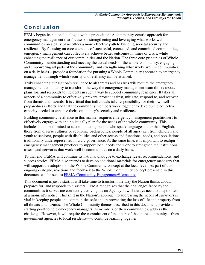# <span id="page-26-0"></span>**Conclusion**

FEMA began its national dialogue with a proposition: A community-centric approach for emergency management that focuses on strengthening and leveraging what works well in communities on a daily basis offers a more effective path to building societal security and resilience. By focusing on core elements of successful, connected, and committed communities, emergency management can collectively achieve better outcomes in times of crisis, while enhancing the resilience of our communities and the Nation. The three core principles of Whole Community—understanding and meeting the actual needs of the whole community, engaging and empowering all parts of the community, and strengthening what works well in communities on a daily basis—provide a foundation for pursuing a Whole Community approach to emergency management through which security and resiliency can be attained.

Truly enhancing our Nation's resilience to all threats and hazards will require the emergency management community to transform the way the emergency management team thinks about, plans for, and responds to incidents in such a way to support community resilience. It takes all aspects of a community to effectively prevent, protect against, mitigate, respond to, and recover from threats and hazards. It is critical that individuals take responsibility for their own selfpreparedness efforts and that the community members work together to develop the collective capacity needed to enhance their community's security and resilience.

Building community resilience in this manner requires emergency management practitioners to effectively engage with and holistically plan for the needs of the whole community. This includes but is not limited to accommodating people who speak languages other than English, those from diverse cultures or economic backgrounds, people of all ages (i.e., from children and youth to seniors), people with disabilities and other access and functional needs, and populations traditionally underrepresented in civic governance. At the same time, it is important to realign emergency management practices to support local needs and work to strengthen the institutions, assets, and networks that work well in communities on a daily basis.

To that end, FEMA will continue its national dialogue to exchange ideas, recommendations, and success stories. FEMA also intends to develop additional materials for emergency managers that will support the adoption of the Whole Community concept at the local level. As part of this ongoing dialogue, reactions and feedback to the Whole Community concept presented in this document can be sent to [FEMA-Community-Engagement@fema.gov.](mailto:FEMA-Community-Engagement@fema.gov)

This document is just a start. It will take time to transform the way the Nation thinks about, prepares for, and responds to disasters. FEMA recognizes that the challenges faced by the communities it serves are constantly evolving; as an Agency, it will always need to adapt, often at a moment's notice. This shift in the Nation's approach to addressing the needs of survivors is vital in keeping people and communities safe and in preventing the loss of life and property from all threats and hazards. The Whole Community themes described in this document provide a starting point to help emergency managers, as members of their communities, address the challenge. However, it will require the commitment of members of the entire community—from government agencies to local residents—to continue learning together.